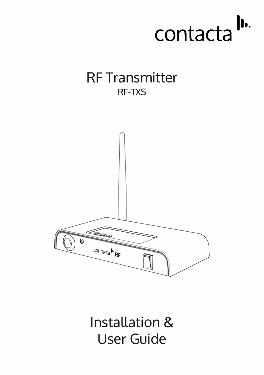

# RF Transmitter RF-TXS



Installation & User Guide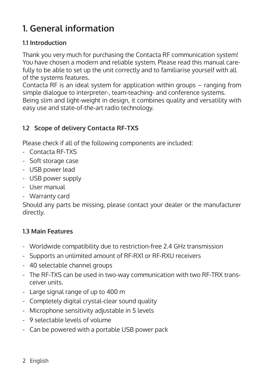# **1. General information**

#### **1.1 Introduction**

Thank you very much for purchasing the Contacta RF communication system! You have chosen a modern and reliable system. Please read this manual carefully to be able to set up the unit correctly and to familiarise yourself with all of the systems features.

Contacta RF is an ideal system for application within groups – ranging from simple dialogue to interpreter-, team-teaching- and conference systems. Being slim and light-weight in design, it combines quality and versatility with easy use and state-of-the-art radio technology.

## **1.2 Scope of delivery Contacta RF-TXS**

Please check if all of the following components are included:

- Contacta RF-TXS
- Soft storage case
- USB power lead
- USB power supply
- User manual
- Warranty card

Should any parts be missing, please contact your dealer or the manufacturer directly.

#### **1.3 Main Features**

- Worldwide compatibility due to restriction-free 2.4 GHz transmission
- Supports an unlimited amount of RF-RX1 or RF-RXU receivers
- 40 selectable channel groups
- The RF-TXS can be used in two-way communication with two RF-TRX trans ceiver units.
- Large signal range of up to 400 m
- Completely digital crystal-clear sound quality
- Microphone sensitivity adjustable in 5 levels
- 9 selectable levels of volume
- Can be powered with a portable USB power pack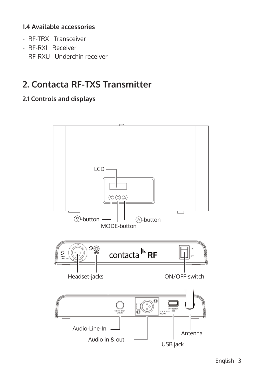#### **1.4 Available accessories**

- RF-TRX Transceiver
- RF-RX1 Receiver
- RF-RXU Underchin receiver

# **2. Contacta RF-TXS Transmitter**

#### **2.1 Controls and displays**

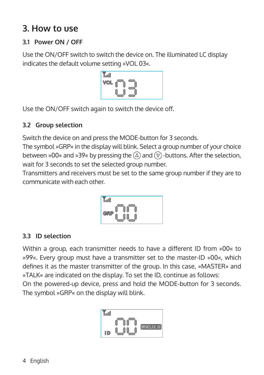# **3. How to use**

## **3.1 Power ON / OFF**

Use the ON/OFF switch to switch the device on. The illuminated LC display indicates the default volume setting »VOL 03«.



Use the ON/OFF switch again to switch the device off.

## **3.2 Group selection**

Switch the device on and press the MODE-button for 3 seconds.

The symbol »GRP« in the display will blink. Select a group number of your choice between »00« and »39« by pressing the  $\overline{A}$  and  $\overline{v}$  -buttons. After the selection, wait for 3 seconds to set the selected group number.

Transmitters and receivers must be set to the same group number if they are to communicate with each other.



## **3.3 ID selection**

Within a group, each transmitter needs to have a different ID from »00« to »99«. Every group must have a transmitter set to the master-ID »00«, which defines it as the master transmitter of the group. In this case, »MASTER« and »TALK« are indicated on the display. To set the ID, continue as follows:

On the powered-up device, press and hold the MODE-button for 3 seconds. The symbol »GRP« on the display will blink.

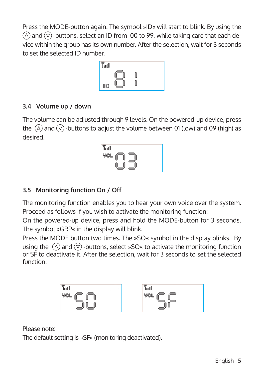Press the MODE-button again. The symbol »ID« will start to blink. By using the  $\alpha$  and  $\alpha$ ) -buttons, select an ID from 00 to 99, while taking care that each device within the group has its own number. After the selection, wait for 3 seconds to set the selected ID number.

| YooO) |  |  |
|-------|--|--|
| ID    |  |  |

## **3.4 Volume up / down**

The volume can be adjusted through 9 levels. On the powered-up device, press the  $\overline{a}$  and  $\overline{v}$  -buttons to adjust the volume between 01 (low) and 09 (high) as desired.



## **3.5 Monitoring function On / Off**

The monitoring function enables you to hear your own voice over the system. Proceed as follows if you wish to activate the monitoring function:

On the powered-up device, press and hold the MODE-button for 3 seconds. The symbol »GRP« in the display will blink.

Press the MODE button two times. The »SO« symbol in the display blinks. By using the  $\Omega$  and  $\overline{v}$  -buttons, select »SO« to activate the monitoring function or SF to deactivate it. After the selection, wait for 3 seconds to set the selected function.



Please note:

The default setting is »SF« (monitoring deactivated).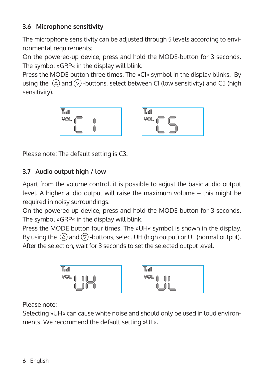## **3.6 Microphone sensitivity**

The microphone sensitivity can be adjusted through 5 levels according to environmental requirements:

On the powered-up device, press and hold the MODE-button for 3 seconds. The symbol »GRP« in the display will blink.

Press the MODE button three times. The »C1« symbol in the display blinks. By using the  $\overline{a}$  and  $\overline{v}$  -buttons, select between C1 (low sensitivity) and C5 (high sensitivity).



| ×<br>TooOl |  |
|------------|--|
| VOL        |  |
|            |  |

Please note: The default setting is C3.

## **3.7 Audio output high / low**

Apart from the volume control, it is possible to adjust the basic audio output level. A higher audio output will raise the maximum volume – this might be required in noisy surroundings.

On the powered-up device, press and hold the MODE-button for 3 seconds. The symbol »GRP« in the display will blink.

Press the MODE button four times. The »UH« symbol is shown in the display. By using the  $\overline{a}$  and  $\overline{v}$  -buttons, select UH (high output) or UL (normal output). After the selection, wait for 3 seconds to set the selected output level.



Please note:

Selecting »UH« can cause white noise and should only be used in loud environments. We recommend the default setting »UL«.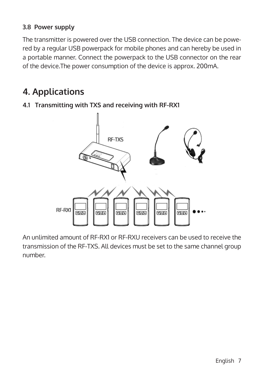## **3.8 Power supply**

The transmitter is powered over the USB connection. The device can be powered by a regular USB powerpack for mobile phones and can hereby be used in a portable manner. Connect the powerpack to the USB connector on the rear of the device.The power consumption of the device is approx. 200mA.

## **4. Applications**



**4.1 Transmitting with TXS and receiving with RF-RX1**

An unlimited amount of RF-RX1 or RF-RXU receivers can be used to receive the transmission of the RF-TXS. All devices must be set to the same channel group number.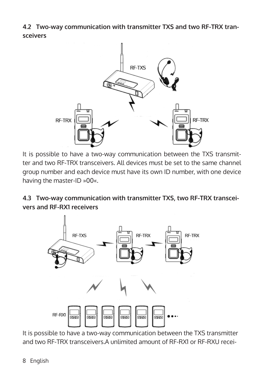**4.2 Two-way communication with transmitter TXS and two RF-TRX transceivers**



It is possible to have a two-way communication between the TXS transmitter and two RF-TRX transceivers. All devices must be set to the same channel group number and each device must have its own ID number, with one device having the master-ID »00«.

**4.3 Two-way communication with transmitter TXS, two RF-TRX transceivers and RF-RX1 receivers**



It is possible to have a two-way communication between the TXS transmitter and two RF-TRX transceivers.A unlimited amount of RF-RX1 or RF-RXU recei-

8 English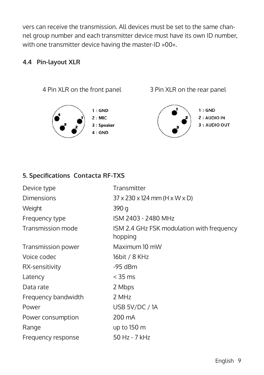vers can receive the transmission. All devices must be set to the same channel group number and each transmitter device must have its own ID number, with one transmitter device having the master-ID »00«.

#### **4.4 Pin-layout XLR**

4 Pin XLR on the front panel 3 Pin XLR on the rear panel





 $4:GND$ 



 $1:$  GND 2 : AUDIO IN

3 : AUDIO OUT

#### **5. Specifications Contacta RF-TXS**

| Device type         | Transmitter                                             |
|---------------------|---------------------------------------------------------|
| <b>Dimensions</b>   | $37 \times 230 \times 124$ mm (H $\times$ W $\times$ D) |
| Weight              | 390 g                                                   |
| Frequency type      | ISM 2403 - 2480 MHz                                     |
| Transmission mode   | ISM 2.4 GHz FSK modulation with frequency<br>hopping    |
| Transmission power  | Maximum 10 mW                                           |
| Voice codec         | 16bit / 8 KHz                                           |
| RX-sensitivity      | $-95$ dBm                                               |
| Latency             | $<$ 35 ms                                               |
| Data rate           | 2 Mbps                                                  |
| Frequency bandwidth | 2 MHz                                                   |
| Power               | USB 5V/DC / 1A                                          |
| Power consumption   | 200 mA                                                  |
| Range               | up to $150 \text{ m}$                                   |
| Frequency response  | 50 Hz - 7 kHz                                           |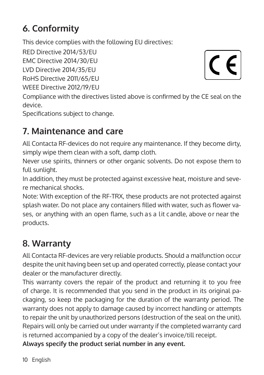# **6. Conformity**

This device complies with the following EU directives:

RED Directive 2014/53/EU

EMC Directive 2014/30/EU

LVD Directive 2014/35/EU

RoHS Directive 2011/65/EU

WEEE Directive 2012/19/EU

 $\epsilon$ 

Compliance with the directives listed above is confirmed by the CE seal on the device.

Specifications subject to change.

# **7. Maintenance and care**

All Contacta RF-devices do not require any maintenance. If they become dirty, simply wipe them clean with a soft, damp cloth.

Never use spirits, thinners or other organic solvents. Do not expose them to full sunlight.

In addition, they must be protected against excessive heat, moisture and severe mechanical shocks.

Note: With exception of the RF-TRX, these products are not protected against splash water. Do not place any containers filled with water, such as flower vases, or anything with an open flame, such as a lit candle, above or near the products.

# **8. Warranty**

All Contacta RF-devices are very reliable products. Should a malfunction occur despite the unit having been set up and operated correctly, please contact your dealer or the manufacturer directly.

This warranty covers the repair of the product and returning it to you free of charge. It is recommended that you send in the product in its original packaging, so keep the packaging for the duration of the warranty period. The warranty does not apply to damage caused by incorrect handling or attempts to repair the unit by unauthorized persons (destruction of the seal on the unit). Repairs will only be carried out under warranty if the completed warranty card is returned accompanied by a copy of the dealer's invoice/till receipt. **Always specify the product serial number in any event.**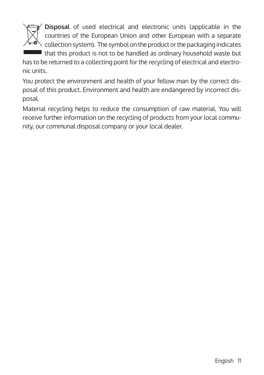

**Disposal** of used electrical and electronic units (applicable in the countries of the European Union and other European with a separate collection system). The symbol on the product or the packaging indicates that this product is not to be handled as ordinary household waste but

has to be returned to a collecting point for the recycling of electrical and electronic units.

You protect the environment and health of your fellow man by the correct disposal of this product. Environment and health are endangered by incorrect disposal.

Material recycling helps to reduce the consumption of raw material. You will receive further information on the recycling of products from your local community, our communal disposal company or your local dealer.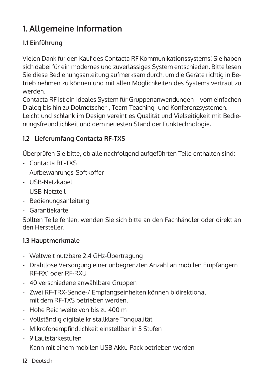# **1. Allgemeine Information**

## **1.1 Einführung**

Vielen Dank für den Kauf des Contacta RF Kommunikationssystems! Sie haben sich dabei für ein modernes und zuverlässiges System entschieden. Bitte lesen Sie diese Bedienungsanleitung aufmerksam durch, um die Geräte richtig in Betrieb nehmen zu können und mit allen Möglichkeiten des Systems vertraut zu werden.

Contacta RF ist ein ideales System für Gruppenanwendungen - vom einfachen Dialog bis hin zu Dolmetscher-, Team-Teaching- und Konferenzsystemen. Leicht und schlank im Design vereint es Qualität und Vielseitigkeit mit Bedienungsfreundlichkeit und dem neuesten Stand der Funktechnologie.

## **1.2 Lieferumfang Contacta RF-TXS**

Überprüfen Sie bitte, ob alle nachfolgend aufgeführten Teile enthalten sind:

- Contacta RF-TXS
- Aufbewahrungs-Softkoffer
- USB-Netzkabel
- USB-Netzteil
- Bedienungsanleitung
- Garantiekarte

Sollten Teile fehlen, wenden Sie sich bitte an den Fachhändler oder direkt an den Hersteller.

## **1.3 Hauptmerkmale**

- Weltweit nutzbare 2.4 GHz-Übertragung
- Drahtlose Versorgung einer unbegrenzten Anzahl an mobilen Empfängern RF-RX1 oder RF-RXU
- 40 verschiedene anwählbare Gruppen
- Zwei RF-TRX-Sende-/ Empfangseinheiten können bidirektional mit dem RF-TXS betrieben werden.
- Hohe Reichweite von bis zu 400 m
- Vollständig digitale kristallklare Tonqualität
- Mikrofonempfindlichkeit einstellbar in 5 Stufen
- 9 Lautstärkestufen
- Kann mit einem mobilen USB Akku-Pack betrieben werden
- 12 Deutsch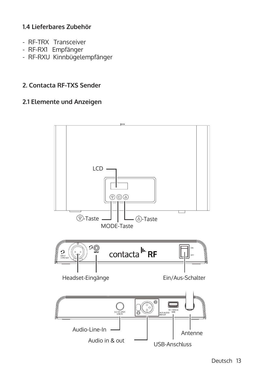#### **1.4 Lieferbares Zubehör**

- RF-TRX Transceiver
- RF-RX1 Empfänger
- RF-RXU Kinnbügelempfänger

#### **2. Contacta RF-TXS Sender**

#### **2.1 Elemente und Anzeigen**

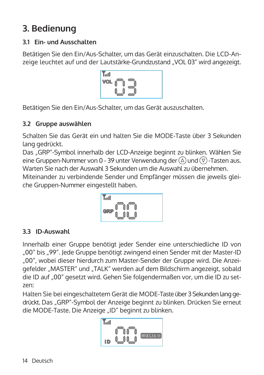# **3. Bedienung**

## **3.1 Ein- und Ausschalten**

Betätigen Sie den Ein/Aus-Schalter, um das Gerät einzuschalten. Die LCD-Anzeige leuchtet auf und der Lautstärke-Grundzustand "VOL 03" wird angezeigt.



Betätigen Sie den Ein/Aus-Schalter, um das Gerät auszuschalten.

#### **3.2 Gruppe auswählen**

Schalten Sie das Gerät ein und halten Sie die MODE-Taste über 3 Sekunden lang gedrückt.

Das "GRP"-Symbol innerhalb der LCD-Anzeige beginnt zu blinken. Wählen Sie eine Gruppen-Nummer von 0 - 39 unter Verwendung der  $(\triangle)$  und  $(\overline{v})$  -Tasten aus. Warten Sie nach der Auswahl 3 Sekunden um die Auswahl zu übernehmen.

Miteinander zu verbindende Sender und Empfänger müssen die jeweils gleiche Gruppen-Nummer eingestellt haben.



## **3.3 ID-Auswahl**

Innerhalb einer Gruppe benötigt jeder Sender eine unterschiedliche ID von "00" bis "99". Jede Gruppe benötigt zwingend einen Sender mit der Master-ID "00", wobei dieser hierdurch zum Master-Sender der Gruppe wird. Die Anzeigefelder "MASTER" und "TALK" werden auf dem Bildschirm angezeigt, sobald die ID auf "00" gesetzt wird. Gehen Sie folgendermaßen vor, um die ID zu setzen:

Halten Sie bei eingeschaltetem Gerät die MODE-Taste über 3 Sekunden lang gedrückt. Das "GRP"-Symbol der Anzeige beginnt zu blinken. Drücken Sie erneut die MODE-Taste. Die Anzeige "ID" beginnt zu blinken.

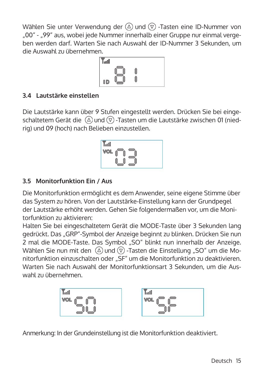Wählen Sie unter Verwendung der  $(\overline{\triangle})$  und  $(\overline{\triangledown})$  -Tasten eine ID-Nummer von "00" - "99" aus, wobei jede Nummer innerhalb einer Gruppe nur einmal vergeben werden darf. Warten Sie nach Auswahl der ID-Nummer 3 Sekunden, um die Auswahl zu übernehmen.



## **3.4 Lautstärke einstellen**

Die Lautstärke kann über 9 Stufen eingestellt werden. Drücken Sie bei eingeschaltetem Gerät die  $\Omega$  und  $\overline{v}$ -Tasten um die Lautstärke zwischen 01 (niedrig) und 09 (hoch) nach Belieben einzustellen.

$$
\begin{array}{|c|c|} \hline \text{You} & \text{or} \\ \hline \text{VOL} & \text{or} \\ \hline \text{UOL} & \text{or} \\ \hline \text{UOL} & \text{or} \\ \hline \end{array}
$$

#### **3.5 Monitorfunktion Ein / Aus**

Die Monitorfunktion ermöglicht es dem Anwender, seine eigene Stimme über das System zu hören. Von der Lautstärke-Einstellung kann der Grundpegel der Lautstärke erhöht werden. Gehen Sie folgendermaßen vor, um die Monitorfunktion zu aktivieren:

Halten Sie bei eingeschaltetem Gerät die MODE-Taste über 3 Sekunden lang gedrückt. Das "GRP"-Symbol der Anzeige beginnt zu blinken. Drücken Sie nun 2 mal die MODE-Taste. Das Symbol "SO" blinkt nun innerhalb der Anzeige. Wählen Sie nun mit den  $\overline{A}$  und  $\overline{B}$  -Tasten die Einstellung "SO" um die Monitorfunktion einzuschalten oder "SF" um die Monitorfunktion zu deaktivieren. Warten Sie nach Auswahl der Monitorfunktionsart 3 Sekunden, um die Auswahl zu übernehmen.

$$
\begin{array}{|c|c|c|c|c|}\n\hline\n\text{For } & \text{for } & \text{for } & \text{for } & \text{for } & \text{for } & \text{for } & \text{for } & \text{for } & \text{for } & \text{for } & \text{for } & \text{for } & \text{for } & \text{for } & \text{for } & \text{for } & \text{for } & \text{for } & \text{for } & \text{for } & \text{for } & \text{for } & \text{for } & \text{for } & \text{for } & \text{for } & \text{for } & \text{for } & \text{for } & \text{for } & \text{for } & \text{for } & \text{for } & \text{for } & \text{for } & \text{for } & \text{for } & \text{for } & \text{for } & \text{for } & \text{for } & \text{for } & \text{for } & \text{for } & \text{for } & \text{for } & \text{for } & \text{for } & \text{for } & \text{for } & \text{for } & \text{for } & \text{for } & \text{for } & \text{for } & \text{for } & \text{for } & \text{for } & \text{for } & \text{for } & \text{for } & \text{for } & \text{for } & \text{for } & \text{for } & \text{for } & \text{for } & \text{for } & \text{for } & \text{for } & \text{for } & \text{for } & \text{for } & \text{for } & \text{for } & \text{for } & \text{for } & \text{for } & \text{for } & \text{for } & \text{for } & \text{for } & \text{for } & \text{for } & \text{for } & \text{for } & \text{for } & \text{for } & \text{for } & \text{for } & \text{for } & \text{for } & \text{for } & \text{for } & \text{for } & \text{for } & \text{for } & \text{for } & \text{for } & \text{for } & \text{for } & \text{for } & \text{for } & \text{for } & \text{for } & \text{for } & \text{for } & \text{for } & \text{for } & \text{for } & \text{for } & \text{for } & \text{for } & \text{for } & \text{for } & \text{for } & \text{for } & \text{for } & \text{for } & \text{for } & \text{for } & \text{for } &
$$

Anmerkung: In der Grundeinstellung ist die Monitorfunktion deaktiviert.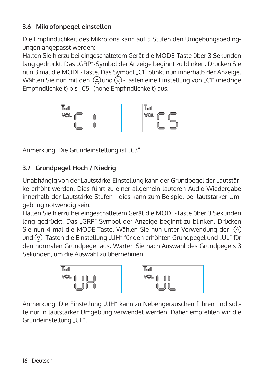## **3.6 Mikrofonpegel einstellen**

Die Empfindlichkeit des Mikrofons kann auf 5 Stufen den Umgebungsbedingungen angepasst werden:

Halten Sie hierzu bei eingeschaltetem Gerät die MODE-Taste über 3 Sekunden lang gedrückt. Das "GRP"-Symbol der Anzeige beginnt zu blinken. Drücken Sie nun 3 mal die MODE-Taste. Das Symbol "C1" blinkt nun innerhalb der Anzeige. Wählen Sie nun mit den  $\overline{(\Omega)}$  und  $\overline{(\nabla)}$ -Tasten eine Einstellung von "C1" (niedrige Empfindlichkeit) bis "C5" (hohe Empfindlichkeit) aus.



Anmerkung: Die Grundeinstellung ist "C3".

## **3.7 Grundpegel Hoch / Niedrig**

Unabhängig von der Lautstärke-Einstellung kann der Grundpegel der Lautstärke erhöht werden. Dies führt zu einer allgemein lauteren Audio-Wiedergabe innerhalb der Lautstärke-Stufen - dies kann zum Beispiel bei lautstarker Umgebung notwendig sein.

Halten Sie hierzu bei eingeschaltetem Gerät die MODE-Taste über 3 Sekunden lang gedrückt. Das "GRP"-Symbol der Anzeige beginnt zu blinken. Drücken Sie nun 4 mal die MODE-Taste. Wählen Sie nun unter Verwendung der  $(\triangle)$ und  $\overline{v}$  -Tasten die Einstellung "UH" für den erhöhten Grundpegel und "UL" für den normalen Grundpegel aus. Warten Sie nach Auswahl des Grundpegels 3 Sekunden, um die Auswahl zu übernehmen.



Anmerkung: Die Einstellung "UH" kann zu Nebengeräuschen führen und sollte nur in lautstarker Umgebung verwendet werden. Daher empfehlen wir die Grundeinstellung "UL".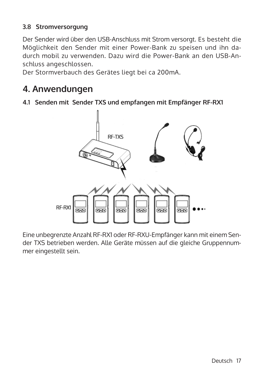#### **3.8 Stromversorgung**

Der Sender wird über den USB-Anschluss mit Strom versorgt. Es besteht die Möglichkeit den Sender mit einer Power-Bank zu speisen und ihn dadurch mobil zu verwenden. Dazu wird die Power-Bank an den USB-Anschluss angeschlossen.

Der Stormverbauch des Gerätes liegt bei ca 200mA.

## **4. Anwendungen**

**4.1 Senden mit Sender TXS und empfangen mit Empfänger RF-RX1**



Eine unbegrenzte Anzahl RF-RX1 oder RF-RXU-Empfänger kann mit einem Sender TXS betrieben werden. Alle Geräte müssen auf die gleiche Gruppennummer eingestellt sein.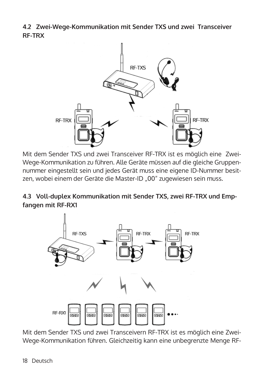**4.2 Zwei-Wege-Kommunikation mit Sender TXS und zwei Transceiver RF-TRX**



Mit dem Sender TXS und zwei Transceiver RF-TRX ist es möglich eine Zwei-Wege-Kommunikation zu führen. Alle Geräte müssen auf die gleiche Gruppennummer eingestellt sein und jedes Gerät muss eine eigene ID-Nummer besitzen, wobei einem der Geräte die Master-ID "00" zugewiesen sein muss.

**4.3 Voll-duplex Kommunikation mit Sender TXS, zwei RF-TRX und Empfangen mit RF-RX1**



Mit dem Sender TXS und zwei Transceivern RF-TRX ist es möglich eine Zwei-Wege-Kommunikation führen. Gleichzeitig kann eine unbegrenzte Menge RF-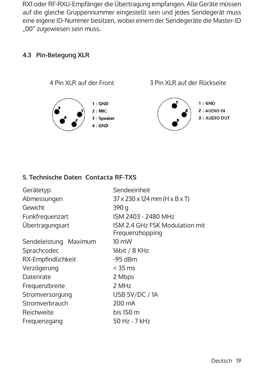RX1 oder RF-RXU-Empfänger die Übertragung empfangen. Alle Geräte müssen auf die gleiche Gruppennummer eingestellt sein und jedes Sendegerät muss eine eigene ID-Nummer besitzen, wobei einem der Sendegeräte die Master-ID "00" zugewiesen sein muss.

#### **4.3 Pin-Belegung XLR**



#### **5. Technische Daten Contacta RF-TXS**

| Gerätetyp             | Sendeeinheit                                            |  |  |
|-----------------------|---------------------------------------------------------|--|--|
| Abmessungen           | $37 \times 230 \times 124$ mm (H $\times$ B $\times$ T) |  |  |
| Gewicht               | 390 g                                                   |  |  |
| Funkfrequenzart       | ISM 2403 - 2480 MHz                                     |  |  |
| Übertragungsart       | ISM 2.4 GHz FSK Modulation mit<br>Frequenzhopping       |  |  |
| Sendeleistung Maximum | $10 \text{ mW}$                                         |  |  |
| Sprachcodec           | 16bit / 8 KHz                                           |  |  |
| RX-Empfindlichkeit    | $-95$ dBm                                               |  |  |
| Verzögerung           | $<$ 35 ms                                               |  |  |
| Datenrate             | 2 Mbps                                                  |  |  |
| Frequenzbreite        | 2 MHz                                                   |  |  |
| Stromversorgung       | USB 5V/DC / 1A                                          |  |  |
| Stromverbrauch        | 200 mA                                                  |  |  |
| Reichweite            | bis 150 m                                               |  |  |
| Frequenzgang          | 50 Hz - 7 kHz                                           |  |  |
|                       |                                                         |  |  |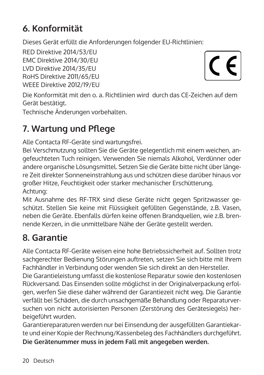# **6. Konformität**

Dieses Gerät erfüllt die Anforderungen folgender EU-Richtlinien:

RED Direktive 2014/53/EU EMC Direktive 2014/30/EU LVD Direktive 2014/35/EU RoHS Direktive 2011/65/EU WEEE Direktive 2012/19/EU

 $\epsilon$ 

Die Konformität mit den o. a. Richtlinien wird durch das CE-Zeichen auf dem Gerät bestätigt.

Technische Änderungen vorbehalten.

# **7. Wartung und Pflege**

Alle Contacta RF-Geräte sind wartungsfrei.

Bei Verschmutzung sollten Sie die Geräte gelegentlich mit einem weichen, angefeuchteten Tuch reinigen. Verwenden Sie niemals Alkohol, Verdünner oder andere organische Lösungsmittel. Setzen Sie die Geräte bitte nicht über längere Zeit direkter Sonneneinstrahlung aus und schützen diese darüber hinaus vor großer Hitze, Feuchtigkeit oder starker mechanischer Erschütterung. Achtung:

Mit Ausnahme des RF-TRX sind diese Geräte nicht gegen Spritzwasser geschützt. Stellen Sie keine mit Flüssigkeit gefüllten Gegenstände, z.B. Vasen, neben die Geräte. Ebenfalls dürfen keine offenen Brandquellen, wie z.B. brennende Kerzen, in die unmittelbare Nähe der Geräte gestellt werden.

# **8. Garantie**

Alle Contacta RF-Geräte weisen eine hohe Betriebssicherheit auf. Sollten trotz sachgerechter Bedienung Störungen auftreten, setzen Sie sich bitte mit Ihrem Fachhändler in Verbindung oder wenden Sie sich direkt an den Hersteller.

Die Garantieleistung umfasst die kostenlose Reparatur sowie den kostenlosen Rückversand. Das Einsenden sollte möglichst in der Originalverpackung erfolgen, werfen Sie diese daher während der Garantiezeit nicht weg. Die Garantie verfällt bei Schäden, die durch unsachgemäße Behandlung oder Reparaturversuchen von nicht autorisierten Personen (Zerstörung des Gerätesiegels) herbeigeführt wurden.

Garantiereparaturen werden nur bei Einsendung der ausgefüllten Garantiekarte und einer Kopie der Rechnung/Kassenbeleg des Fachhändlers durchgeführt.

**Die Gerätenummer muss in jedem Fall mit angegeben werden.**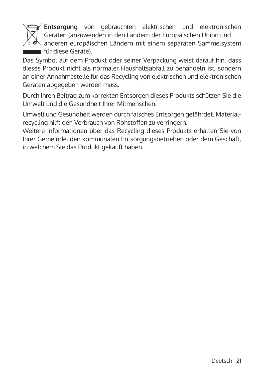

**Entsorgung** von gebrauchten elektrischen und elektronischen Geräten (anzuwenden in den Ländern der Europäischen Union und  $\mathbb{Z}_{\mathbb{R}}$  anderen europäischen Ländern mit einem separaten Sammelsystem für diese Geräte).

Das Symbol auf dem Produkt oder seiner Verpackung weist darauf hin, dass dieses Produkt nicht als normaler Haushaltsabfall zu behandeln ist, sondern an einer Annahmestelle für das Recycling von elektrischen und elektronischen Geräten abgegeben werden muss.

Durch Ihren Beitrag zum korrekten Entsorgen dieses Produkts schützen Sie die Umwelt und die Gesundheit Ihrer Mitmenschen.

Umwelt und Gesundheit werden durch falsches Entsorgen gefährdet. Materialrecycling hilft den Verbrauch von Rohstoffen zu verringern.

Weitere Informationen über das Recycling dieses Produkts erhalten Sie von Ihrer Gemeinde, den kommunalen Entsorgungsbetrieben oder dem Geschäft, in welchem Sie das Produkt gekauft haben.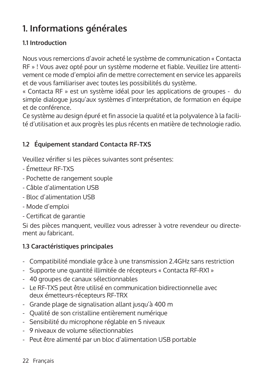# **1. Informations générales**

## **1.1 Introduction**

Nous vous remercions d'avoir acheté le système de communication « Contacta RF » ! Vous avez opté pour un système moderne et fiable. Veuillez lire attentivement ce mode d'emploi afin de mettre correctement en service les appareils et de vous familiariser avec toutes les possibilités du système.

« Contacta RF » est un système idéal pour les applications de groupes - du simple dialogue jusqu'aux systèmes d'interprétation, de formation en équipe et de conférence.

Ce système au design épuré et fin associe la qualité et la polyvalence à la facilité d'utilisation et aux progrès les plus récents en matière de technologie radio.

## **1.2 Équipement standard Contacta RF-TXS**

Veuillez vérifier si les pièces suivantes sont présentes:

- Émetteur RF-TXS
- Pochette de rangement souple
- Câble d'alimentation USB
- Bloc d'alimentation USB
- Mode d'emploi
- Certificat de garantie

Si des pièces manquent, veuillez vous adresser à votre revendeur ou directement au fabricant.

## **1.3 Caractéristiques principales**

- Compatibilité mondiale grâce à une transmission 2.4GHz sans restriction
- Supporte une quantité illimitée de récepteurs « Contacta RF-RX1 »
- 40 groupes de canaux sélectionnables
- Le RF-TXS peut être utilisé en communication bidirectionnelle avec deux émetteurs-récepteurs RF-TRX
- Grande plage de signalisation allant jusqu'à 400 m
- Qualité de son cristalline entièrement numérique
- Sensibilité du microphone réglable en 5 niveaux
- 9 niveaux de volume sélectionnables
- Peut être alimenté par un bloc d'alimentation USB portable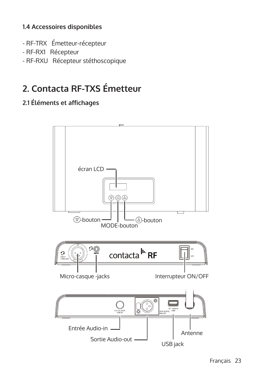## **1.4 Accessoires disponibles**

- RF-TRX Émetteur-récepteur
- RF-RX1 Récepteur
- RF-RXU Récepteur stéthoscopique

# **2. Contacta RF-TXS Émetteur**

## **2.1 Éléments et affichages**

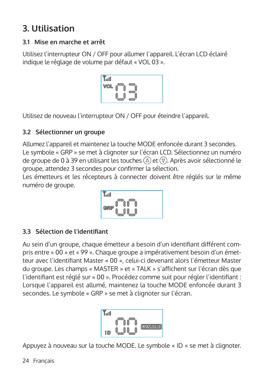# **3. Utilisation**

## **3.1 Mise en marche et arrêt**

Utilisez l'interrupteur ON / OFF pour allumer l'appareil. L'écran LCD éclairé indique le réglage de volume par défaut « VOL 03 ».



Utilisez de nouveau l'interrupteur ON / OFF pour éteindre l'appareil.

## **3.2 Sélectionner un groupe**

Allumez l'appareil et maintenez la touche MODE enfoncée durant 3 secondes. Le symbole « GRP » se met à clignoter sur l'écran LCD. Sélectionnez un numéro de groupe de 0 à 39 en utilisant les touches  $(2)$  et  $(7)$ . Après avoir sélectionné le groupe, attendez 3 secondes pour confirmer la sélection.

Les émetteurs et les récepteurs à connecter doivent être réglés sur le même numéro de groupe.

$$
\begin{bmatrix}\n\mathbf{r}_{\text{ref}} \\
\text{or} \\
\mathbf{r}_{\text{ref}}\n\end{bmatrix}\n\begin{bmatrix}\n\mathbf{r}_{\text{ref}} \\
\mathbf{r}_{\text{ref}}\n\end{bmatrix}
$$

## **3.3 Sélection de l'identifiant**

Au sein d'un groupe, chaque émetteur a besoin d'un identifiant différent compris entre « 00 » et « 99 ». Chaque groupe a impérativement besoin d'un émetteur avec l'identifiant Master « 00 », celui-ci devenant alors l'émetteur Master du groupe. Les champs « MASTER » et « TALK » s'affichent sur l'écran dès que l'identifiant est réglé sur « 00 ». Procédez comme suit pour régler l'identifiant : Lorsque l'appareil est allumé, maintenez la touche MODE enfoncée durant 3 secondes. Le symbole « GRP » se met à clignoter sur l'écran.



Appuyez à nouveau sur la touche MODE. Le symbole « ID » se met à clignoter.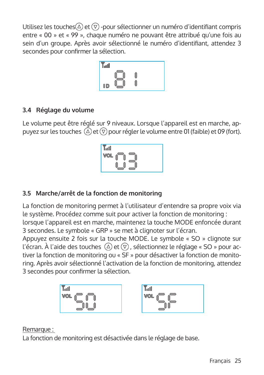Utilisez les touches $\textcircled{2}$  et  $\textcircled{7}$  -pour sélectionner un numéro d'identifiant compris entre « 00 » et « 99 », chaque numéro ne pouvant être attribué qu'une fois au sein d'un groupe. Après avoir sélectionné le numéro d'identifiant, attendez 3 secondes pour confirmer la sélection.



## **3.4 Réglage du volume**

Le volume peut être réglé sur 9 niveaux. Lorsque l'appareil est en marche, appuyez sur les touches  $\widehat{A}$  et  $\widehat{B}$  pour régler le volume entre 01 (faible) et 09 (fort).

$$
\begin{array}{c}\n\text{Total} \\
\text{VOL} \\
\text{IOL} \\
\text{IOL} \\
\text{IOL} \\
\text{IOL} \\
\text{IOL} \\
\text{IOL} \\
\text{IOL} \\
\text{IOL} \\
\text{IOL} \\
\text{IOL} \\
\text{IOL} \\
\text{IOL} \\
\text{IOL} \\
\text{IOL} \\
\text{IOL} \\
\text{IOL} \\
\text{IOL} \\
\text{IOL} \\
\text{IOL} \\
\text{IOL} \\
\text{IOL} \\
\text{IOL} \\
\text{IOL} \\
\text{IOL} \\
\text{IOL} \\
\text{IOL} \\
\text{IOL} \\
\text{IOL} \\
\text{IOL} \\
\text{IOL} \\
\text{IOL} \\
\text{IOL} \\
\text{IOL} \\
\text{IOL} \\
\text{IOL} \\
\text{IOL} \\
\text{IOL} \\
\text{IOL} \\
\text{IOL} \\
\text{IOL} \\
\text{IOL} \\
\text{IOL} \\
\text{IOL} \\
\text{IOL} \\
\text{IOL} \\
\text{IOL} \\
\text{IOL} \\
\text{IOL} \\
\text{IOL} \\
\text{IOL} \\
\text{IOL} \\
\text{IOL} \\
\text{IOL} \\
\text{IOL} \\
\text{IOL} \\
\text{IOL} \\
\text{IOL} \\
\text{IOL} \\
\text{IOL} \\
\text{IOL} \\
\text{IOL} \\
\text{IOL} \\
\text{IOL} \\
\text{IOL} \\
\text{IOL} \\
\text{IOL} \\
\text{IOL} \\
\text{IOL} \\
\text{IOL} \\
\text{IOL} \\
\text{IOL} \\
\text{IOL} \\
\text{IOL} \\
\text{IOL} \\
\text{IOL} \\
\text{IOL} \\
\text{IOL} \\
\text{IOL} \\
\text{IOL} \\
\text{IOL} \\
\text{IOL} \\
\text{IOL} \\
\text{IOL} \\
\text{IOL} \\
\text{IOL} \\
\text{IOL} \\
\text{IOL} \\
\text{IOL} \\
\text{IOL} \\
\text{IOL} \\
\text{IOL} \\
\text{IOL} \\
\text{IOL} \\
\text{IOL} \\
\text{IOL} \\
\text{IOL} \\
\text{IOL} \\
\text{IOL} \\
\text{IOL} \\
\text{IOL} \\
\text{IOL} \\
\text{IOL} \\
\text{IOL} \\
\text{IOL} \\
\text{IOL} \\
\text{I
$$

## **3.5 Marche/arrêt de la fonction de monitoring**

La fonction de monitoring permet à l'utilisateur d'entendre sa propre voix via le système. Procédez comme suit pour activer la fonction de monitoring : lorsque l'appareil est en marche, maintenez la touche MODE enfoncée durant 3 secondes. Le symbole « GRP » se met à clignoter sur l'écran.

Appuyez ensuite 2 fois sur la touche MODE. Le symbole « SO » clignote sur l'écran. À l'aide des touches  $\textcircled{2}$  et  $\textcircled{7}$ , sélectionnez le réglage « SO » pour activer la fonction de monitoring ou « SF » pour désactiver la fonction de monitoring. Après avoir sélectionné l'activation de la fonction de monitoring, attendez 3 secondes pour confirmer la sélection.



#### Remarque :

La fonction de monitoring est désactivée dans le réglage de base.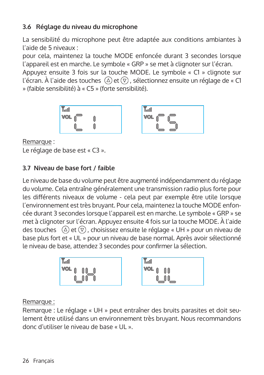## **3.6 Réglage du niveau du microphone**

La sensibilité du microphone peut être adaptée aux conditions ambiantes à l'aide de 5 niveaux :

pour cela, maintenez la touche MODE enfoncée durant 3 secondes lorsque l'appareil est en marche. Le symbole « GRP » se met à clignoter sur l'écran.

Appuyez ensuite 3 fois sur la touche MODE. Le symbole « C1 » clignote sur l'écran. À l'aide des touches  $\overline{A}$ ) et  $\overline{v}$ , sélectionnez ensuite un réglage de « C1 » (faible sensibilité) à « C5 » (forte sensibilité).





Remarque : Le réglage de base est « C3 ».

## **3.7 Niveau de base fort / faible**

Le niveau de base du volume peut être augmenté indépendamment du réglage du volume. Cela entraîne généralement une transmission radio plus forte pour les différents niveaux de volume - cela peut par exemple être utile lorsque l'environnement est très bruyant. Pour cela, maintenez la touche MODE enfoncée durant 3 secondes lorsque l'appareil est en marche. Le symbole « GRP » se met à clignoter sur l'écran. Appuyez ensuite 4 fois sur la touche MODE. À l'aide des touches  $\Omega$  et  $\overline{Q}$ , choisissez ensuite le réglage « UH » pour un niveau de base plus fort et « UL » pour un niveau de base normal. Après avoir sélectionné le niveau de base, attendez 3 secondes pour confirmer la sélection.



Remarque :

Remarque : Le réglage « UH » peut entraîner des bruits parasites et doit seulement être utilisé dans un environnement très bruyant. Nous recommandons donc d'utiliser le niveau de base « UL ».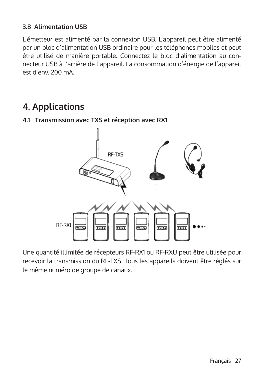#### **3.8 Alimentation USB**

L'émetteur est alimenté par la connexion USB. L'appareil peut être alimenté par un bloc d'alimentation USB ordinaire pour les téléphones mobiles et peut être utilisé de manière portable. Connectez le bloc d'alimentation au connecteur USB à l'arrière de l'appareil. La consommation d'énergie de l'appareil est d'env. 200 mA.

# **4. Applications**

# RF-TXS RF-RX1 लनग लनग लनम  $F = 14$ FFT. FFT.

## **4.1 Transmission avec TXS et réception avec RX1**

Une quantité illimitée de récepteurs RF-RX1 ou RF-RXU peut être utilisée pour recevoir la transmission du RF-TXS. Tous les appareils doivent être réglés sur le même numéro de groupe de canaux.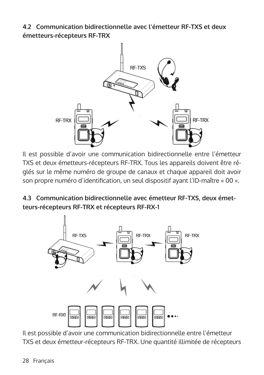**4.2 Communication bidirectionnelle avec l'émetteur RF-TXS et deux émetteurs-récepteurs RF-TRX**



Il est possible d'avoir une communication bidirectionnelle entre l'émetteur TXS et deux émetteurs-récepteurs RF-TRX. Tous les appareils doivent être réglés sur le même numéro de groupe de canaux et chaque appareil doit avoir son propre numéro d'identification, un seul dispositif ayant l'ID-maître « 00 ».

**4.3 Communication bidirectionnelle avec émetteur RF-TXS, deux émetteurs-récepteurs RF-TRX et récepteurs RF-RX-1** 



Il est possible d'avoir une communication bidirectionnelle entre l'émetteur TXS et deux émetteur-récepteurs RF-TRX. Une quantité illimitée de récepteurs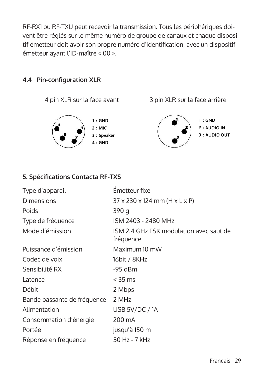RF-RX1 ou RF-TXU peut recevoir la transmission. Tous les périphériques doivent être réglés sur le même numéro de groupe de canaux et chaque dispositif émetteur doit avoir son propre numéro d'identification, avec un dispositif émetteur ayant l'ID-maître « 00 ».

## **4.4 Pin-configuration XLR**



 $1:$  GND  $2:MIC$ 3 : Speaker  $4:$  GND

4 pin XLR sur la face avant 3 pin XLR sur la face arrière



 $1:$  GND 2 : AUDIO IN 3 : AUDIO OUT

#### **5. Spécifications Contacta RF-TXS**

| Type d'appareil             | Emetteur fixe                                           |
|-----------------------------|---------------------------------------------------------|
| <b>Dimensions</b>           | $37 \times 230 \times 124$ mm (H $\times$ L $\times$ P) |
| Poids                       | 390 g                                                   |
| Type de fréquence           | ISM 2403 - 2480 MHz                                     |
| Mode d'émission             | ISM 2.4 GHz FSK modulation avec saut de<br>fréquence    |
| Puissance d'émission        | Maximum 10 mW                                           |
| Codec de voix               | 16bit / 8KHz                                            |
| Sensibilité RX              | $-95$ dBm                                               |
| Latence                     | $<$ 35 ms                                               |
| Débit                       | 2 Mbps                                                  |
| Bande passante de fréquence | 2 MHz                                                   |
| Alimentation                | USB 5V/DC/1A                                            |
| Consommation d'énergie      | 200 mA                                                  |
| Portée                      | jusqu'à 150 m                                           |
| Réponse en fréquence        | 50 Hz - 7 kHz                                           |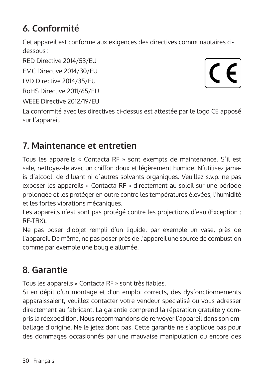# **6. Conformité**

Cet appareil est conforme aux exigences des directives communautaires cidessous :

RED Directive 2014/53/EU

EMC Directive 2014/30/EU

LVD Directive 2014/35/EU

RoHS Directive 2011/65/EU

WEEE Directive 2012/19/EU

 $\mathcal C$  $\epsilon$ 

La conformité avec les directives ci-dessus est attestée par le logo CE apposé sur l'appareil.

# **7. Maintenance et entretien**

Tous les appareils « Contacta RF » sont exempts de maintenance. S´il est sale, nettoyez-le avec un chiffon doux et légèrement humide. N´utilisez jamais d´alcool, de diluant ni d´autres solvants organiques. Veuillez s.v.p. ne pas exposer les appareils « Contacta RF » directement au soleil sur une période prolongée et les protéger en outre contre les températures élevées, l'humidité et les fortes vibrations mécaniques.

Les appareils n'est sont pas protégé contre les projections d'eau (Exception : RF-TRX).

Ne pas poser d'objet rempli d'un liquide, par exemple un vase, près de l'appareil. De même, ne pas poser près de l'appareil une source de combustion comme par exemple une bougie allumée.

# **8. Garantie**

Tous les appareils « Contacta RF » sont très fiables.

Si en dépit d'un montage et d'un emploi corrects, des dysfonctionnements apparaissaient, veuillez contacter votre vendeur spécialisé ou vous adresser directement au fabricant. La garantie comprend la réparation gratuite y compris la réexpédition. Nous recommandons de renvoyer l'appareil dans son emballage d'origine. Ne le jetez donc pas. Cette garantie ne s'applique pas pour des dommages occasionnés par une mauvaise manipulation ou encore des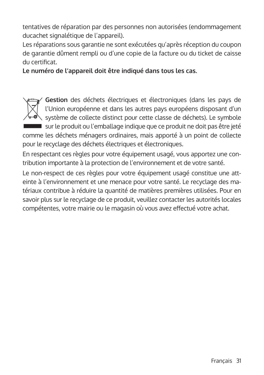tentatives de réparation par des personnes non autorisées (endommagement ducachet signalétique de l'appareil).

Les réparations sous garantie ne sont exécutées qu'après réception du coupon de garantie dûment rempli ou d'une copie de la facture ou du ticket de caisse du certificat.

**Le numéro de l'appareil doit être indiqué dans tous les cas.**



**Gestion** des déchets électriques et électroniques (dans les pays de l'Union européenne et dans les autres pays européens disposant d'un système de collecte distinct pour cette classe de déchets). Le symbole sur le produit ou l'emballage indique que ce produit ne doit pas être jeté comme les déchets ménagers ordinaires, mais apporté à un point de collecte pour le recyclage des déchets électriques et électroniques.

En respectant ces règles pour votre équipement usagé, vous apportez une contribution importante à la protection de l'environnement et de votre santé.

Le non-respect de ces règles pour votre équipement usagé constitue une atteinte à l'environnement et une menace pour votre santé. Le recyclage des matériaux contribue à réduire la quantité de matières premières utilisées. Pour en savoir plus sur le recyclage de ce produit, veuillez contacter les autorités locales compétentes, votre mairie ou le magasin où vous avez effectué votre achat.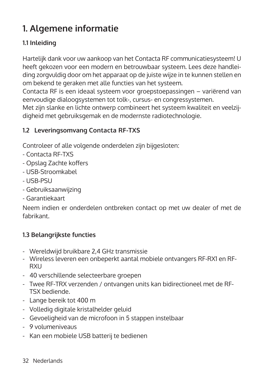# **1. Algemene informatie**

## **1.1 Inleiding**

Hartelijk dank voor uw aankoop van het Contacta RF communicatiesysteem! U heeft gekozen voor een modern en betrouwbaar systeem. Lees deze handleiding zorgvuldig door om het apparaat op de juiste wijze in te kunnen stellen en om bekend te geraken met alle functies van het systeem.

Contacta RF is een ideaal systeem voor groepstoepassingen – variërend van eenvoudige dialoogsystemen tot tolk-, cursus- en congressystemen.

Met zijn slanke en lichte ontwerp combineert het systeem kwaliteit en veelzijdigheid met gebruiksgemak en de modernste radiotechnologie.

## **1.2 Leveringsomvang Contacta RF-TXS**

Controleer of alle volgende onderdelen zijn bijgesloten:

- Contacta RF-TXS
- Opslag Zachte koffers
- USB-Stroomkabel
- USB-PSU
- Gebruiksaanwijzing
- Garantiekaart

Neem indien er onderdelen ontbreken contact op met uw dealer of met de fabrikant.

#### **1.3 Belangrijkste functies**

- Wereldwijd bruikbare 2,4 GHz transmissie
- Wireless leveren een onbeperkt aantal mobiele ontvangers RF-RX1 en RF-**RXII**
- 40 verschillende selecteerbare groepen
- Twee RF-TRX verzenden / ontvangen units kan bidirectioneel met de RF-TSX bediende.
- Lange bereik tot 400 m
- Volledig digitale kristalhelder geluid
- Gevoeligheid van de microfoon in 5 stappen instelbaar
- 9 volumeniveaus
- Kan een mobiele USB batterij te bedienen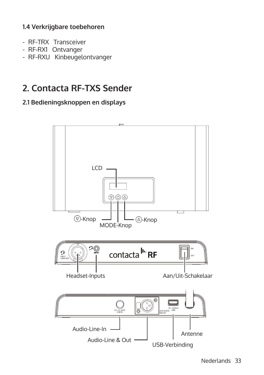#### **1.4 Verkrijgbare toebehoren**

- RF-TRX Transceiver
- RF-RX1 Ontvanger
- RF-RXU Kinbeugelontvanger

# **2. Contacta RF-TXS Sender**

#### **2.1 Bedieningsknoppen en displays**

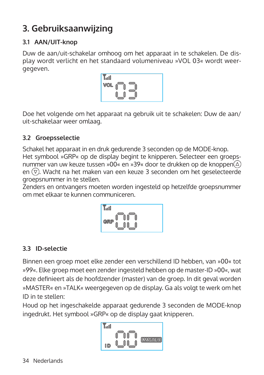# **3. Gebruiksaanwijzing**

## **3.1 AAN/UIT-knop**

Duw de aan/uit-schakelar omhoog om het apparaat in te schakelen. De display wordt verlicht en het standaard volumeniveau »VOL 03« wordt weergegeven.



Doe het volgende om het apparaat na gebruik uit te schakelen: Duw de aan/ uit-schakelaar weer omlaag.

#### **3.2 Groepsselectie**

Schakel het apparaat in en druk gedurende 3 seconden op de MODE-knop. Het symbool »GRP« op de display begint te knipperen. Selecteer een groepsnummer van uw keuze tussen »00« en »39« door te drukken op de knoppen $(\triangle)$ en  $\overline{v}$ . Wacht na het maken van een keuze 3 seconden om het geselecteerde groepsnummer in te stellen.

Zenders en ontvangers moeten worden ingesteld op hetzelfde groepsnummer om met elkaar te kunnen communiceren.



## **3.3 ID-selectie**

Binnen een groep moet elke zender een verschillend ID hebben, van »00« tot »99«. Elke groep moet een zender ingesteld hebben op de master-ID »00«, wat deze definieert als de hoofdzender (master) van de groep. In dit geval worden »MASTER« en »TALK« weergegeven op de display. Ga als volgt te werk om het ID in te stellen:

Houd op het ingeschakelde apparaat gedurende 3 seconden de MODE-knop ingedrukt. Het symbool »GRP« op de display gaat knipperen.

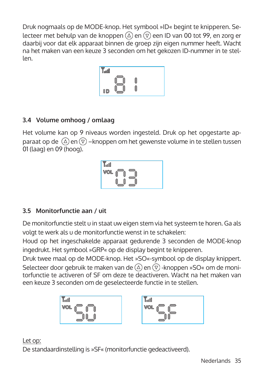Druk nogmaals op de MODE-knop. Het symbool »ID« begint te knipperen. Selecteer met behulp van de knoppen  $\textcircled{a}$  en  $\textcircled{r}$  een ID van 00 tot 99, en zorg er daarbij voor dat elk apparaat binnen de groep zijn eigen nummer heeft. Wacht na het maken van een keuze 3 seconden om het gekozen ID-nummer in te stellen.



## **3.4 Volume omhoog / omlaag**

Het volume kan op 9 niveaus worden ingesteld. Druk op het opgestarte apparaat op de  $\overline{a}$ ) en  $\overline{v}$  –knoppen om het gewenste volume in te stellen tussen 01 (laag) en 09 (hoog).



## **3.5 Monitorfunctie aan / uit**

De monitorfunctie stelt u in staat uw eigen stem via het systeem te horen. Ga als volgt te werk als u de monitorfunctie wenst in te schakelen:

Houd op het ingeschakelde apparaat gedurende 3 seconden de MODE-knop ingedrukt. Het symbool »GRP« op de display begint te knipperen.

Druk twee maal op de MODE-knop. Het »SO«-symbool op de display knippert. Selecteer door gebruik te maken van de  $(\triangle)$  en  $(\nabla)$ -knoppen »SO« om de monitorfunctie te activeren of SF om deze te deactiveren. Wacht na het maken van een keuze 3 seconden om de geselecteerde functie in te stellen.





#### Let op:

De standaardinstelling is »SF« (monitorfunctie gedeactiveerd).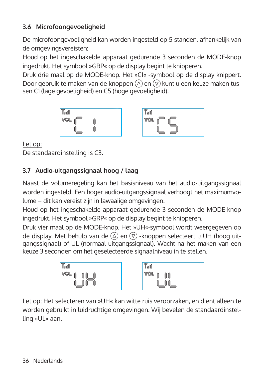## **3.6 Microfoongevoeligheid**

De microfoongevoeligheid kan worden ingesteld op 5 standen, afhankelijk van de omgevingsvereisten:

Houd op het ingeschakelde apparaat gedurende 3 seconden de MODE-knop ingedrukt. Het symbool »GRP« op de display begint te knipperen.

Druk drie maal op de MODE-knop. Het »C1« -symbool op de display knippert. Door gebruik te maken van de knoppen  $\textcircled{2}$  en  $\textcircled{7}$  kunt u een keuze maken tussen C1 (lage gevoeligheid) en C5 (hoge gevoeligheid).

$$
\begin{array}{c}\n\text{Total} \\
\text{VOL} \\
\text{I} \\
\text{OOL} \\
\text{O} \\
\text{O} \\
\text{O} \\
\text{O} \\
\text{O} \\
\text{O} \\
\text{O} \\
\text{O} \\
\text{O} \\
\text{O} \\
\text{O} \\
\text{O} \\
\text{O} \\
\text{O} \\
\text{O} \\
\text{O} \\
\text{O} \\
\text{O} \\
\text{O} \\
\text{O} \\
\text{O} \\
\text{O} \\
\text{O} \\
\text{O} \\
\text{O} \\
\text{O} \\
\text{O} \\
\text{O} \\
\text{O} \\
\text{O} \\
\text{O} \\
\text{O} \\
\text{O} \\
\text{O} \\
\text{O} \\
\text{O} \\
\text{O} \\
\text{O} \\
\text{O} \\
\text{O} \\
\text{O} \\
\text{O} \\
\text{O} \\
\text{O} \\
\text{O} \\
\text{O} \\
\text{O} \\
\text{O} \\
\text{O} \\
\text{O} \\
\text{O} \\
\text{O} \\
\text{O} \\
\text{O} \\
\text{O} \\
\text{O} \\
\text{O} \\
\text{O} \\
\text{O} \\
\text{O} \\
\text{O} \\
\text{O} \\
\text{O} \\
\text{O} \\
\text{O} \\
\text{O} \\
\text{O} \\
\text{O} \\
\text{O} \\
\text{O} \\
\text{O} \\
\text{O} \\
\text{O} \\
\text{O} \\
\text{O} \\
\text{O} \\
\text{O} \\
\text{O} \\
\text{O} \\
\text{O} \\
\text{O} \\
\text{O} \\
\text{O} \\
\text{O} \\
\text{O} \\
\text{O} \\
\text{O} \\
\text{O} \\
\text{O} \\
\text{O} \\
\text{O} \\
\text{O} \\
\text{O} \\
\text{O} \\
\text{O} \\
\text{O} \\
\text{O} \\
\text{O} \\
\text{O} \\
\text{O} \\
\text{O} \\
\text{O} \\
\text{O} \\
\text{O} \\
\text{O} \\
\text{O} \\
\text{O} \\
\text{O} \\
\text{O} \\
\text{O} \\
\text{O} \\
\text{O} \\
\text{O} \\
\text{O} \\
\text{O} \\
\text{O} \\
\text{O} \\
\text{O} \\
\text{O} \\
\text{O} \\
\text{O} \\
$$

| Y.ul<br>VOL |  |  |
|-------------|--|--|
|             |  |  |

Let op: De standaardinstelling is C3.

## **3.7 Audio-uitgangssignaal hoog / laag**

Naast de volumeregeling kan het basisniveau van het audio-uitgangssignaal worden ingesteld. Een hoger audio-uitgangssignaal verhoogt het maximumvolume – dit kan vereist zijn in lawaaiige omgevingen.

Houd op het ingeschakelde apparaat gedurende 3 seconden de MODE-knop ingedrukt. Het symbool »GRP« op de display begint te knipperen.

Druk vier maal op de MODE-knop. Het »UH«-symbool wordt weergegeven op de display. Met behulp van de  $(\overline{\triangle})$  en  $(\overline{\triangledown})$  -knoppen selecteert u UH (hoog uitgangssignaal) of UL (normaal uitgangssignaal). Wacht na het maken van een keuze 3 seconden om het geselecteerde signaalniveau in te stellen.



Let op: Het selecteren van »UH« kan witte ruis veroorzaken, en dient alleen te worden gebruikt in luidruchtige omgevingen. Wij bevelen de standaardinstelling »UL« aan.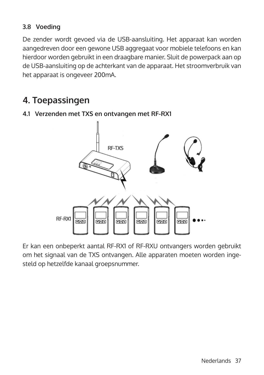#### **3.8 Voeding**

De zender wordt gevoed via de USB-aansluiting. Het apparaat kan worden aangedreven door een gewone USB aggregaat voor mobiele telefoons en kan hierdoor worden gebruikt in een draagbare manier. Sluit de powerpack aan op de USB-aansluiting op de achterkant van de apparaat. Het stroomverbruik van het apparaat is ongeveer 200mA.

# **4. Toepassingen**



#### **4.1 Verzenden met TXS en ontvangen met RF-RX1**

Er kan een onbeperkt aantal RF-RX1 of RF-RXU ontvangers worden gebruikt om het signaal van de TXS ontvangen. Alle apparaten moeten worden ingesteld op hetzelfde kanaal groepsnummer.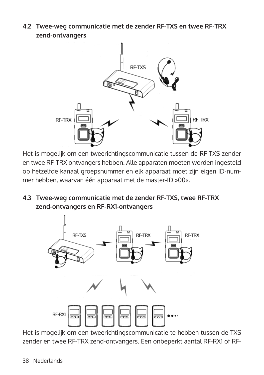**4.2 Twee-weg communicatie met de zender RF-TXS en twee RF-TRX zend-ontvangers**



Het is mogelijk om een tweerichtingscommunicatie tussen de RF-TXS zender en twee RF-TRX ontvangers hebben. Alle apparaten moeten worden ingesteld op hetzelfde kanaal groepsnummer en elk apparaat moet zijn eigen ID-nummer hebben, waarvan één apparaat met de master-ID »00«.

**4.3 Twee-weg communicatie met de zender RF-TXS, twee RF-TRX zend-ontvangers en RF-RX1-ontvangers**



Het is mogelijk om een tweerichtingscommunicatie te hebben tussen de TXS zender en twee RF-TRX zend-ontvangers. Een onbeperkt aantal RF-RX1 of RF-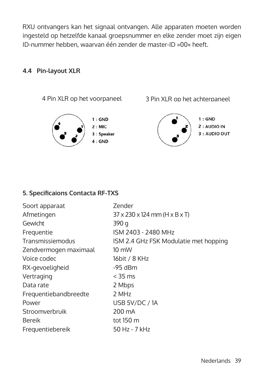RXU ontvangers kan het signaal ontvangen. Alle apparaten moeten worden ingesteld op hetzelfde kanaal groepsnummer en elke zender moet zijn eigen ID-nummer hebben, waarvan één zender de master-ID »00« heeft.

#### **4.4 Pin-layout XLR**



#### **5. Specificaions Contacta RF-TXS**

| $37 \times 230 \times 124$ mm (H $\times$ B $\times$ T) |
|---------------------------------------------------------|
|                                                         |
| 390 g                                                   |
| ISM 2403 - 2480 MHz                                     |
| ISM 2.4 GHz FSK Modulatie met hopping                   |
| $10 \text{ mW}$                                         |
| 16bit / 8 KHz                                           |
| -95 dBm                                                 |
| $<$ 35 ms                                               |
| 2 Mbps                                                  |
| 2 MHz                                                   |
| USB 5V/DC / 1A                                          |
| 200 mA                                                  |
| tot $150 \text{ m}$                                     |
| 50 Hz - 7 kHz                                           |
|                                                         |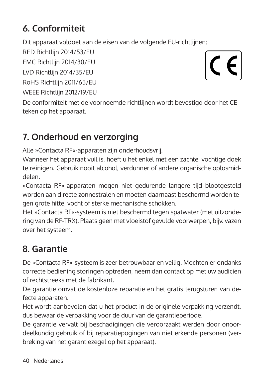# **6. Conformiteit**

Dit apparaat voldoet aan de eisen van de volgende EU-richtlijnen:

RED Richtlijn 2014/53/EU

EMC Richtlijn 2014/30/EU

LVD Richtlijn 2014/35/EU

RoHS Richtlijn 2011/65/EU

WEEE Richtlijn 2012/19/EU

 $\epsilon$ 

De conformiteit met de voornoemde richtlijnen wordt bevestigd door het CEteken op het apparaat.

# **7. Onderhoud en verzorging**

Alle »Contacta RF«-apparaten zijn onderhoudsvrij.

Wanneer het apparaat vuil is, hoeft u het enkel met een zachte, vochtige doek te reinigen. Gebruik nooit alcohol, verdunner of andere organische oplosmiddelen.

»Contacta RF«-apparaten mogen niet gedurende langere tijd blootgesteld worden aan directe zonnestralen en moeten daarnaast beschermd worden tegen grote hitte, vocht of sterke mechanische schokken.

Het »Contacta RF«-systeem is niet beschermd tegen spatwater (met uitzondering van de RF-TRX). Plaats geen met vloeistof gevulde voorwerpen, bijv. vazen over het systeem.

# **8. Garantie**

De »Contacta RF«-systeem is zeer betrouwbaar en veilig. Mochten er ondanks correcte bediening storingen optreden, neem dan contact op met uw audicien of rechtstreeks met de fabrikant.

De garantie omvat de kostenloze reparatie en het gratis terugsturen van defecte apparaten.

Het wordt aanbevolen dat u het product in de originele verpakking verzendt, dus bewaar de verpakking voor de duur van de garantieperiode.

De garantie vervalt bij beschadigingen die veroorzaakt werden door onoordeelkundig gebruik of bij reparatiepogingen van niet erkende personen (verbreking van het garantiezegel op het apparaat).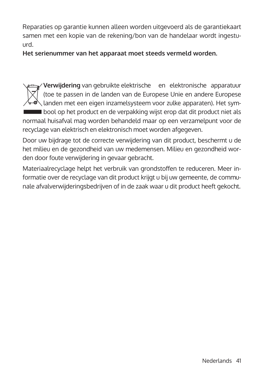Reparaties op garantie kunnen alleen worden uitgevoerd als de garantiekaart samen met een kopie van de rekening/bon van de handelaar wordt ingestuurd.

**Het serienummer van het apparaat moet steeds vermeld worden.**

**Verwijdering** van gebruikte elektrische en elektronische apparatuur (toe te passen in de landen van de Europese Unie en andere Europese landen met een eigen inzamelsysteem voor zulke apparaten). Het sym-■ bool op het product en de verpakking wijst erop dat dit product niet als normaal huisafval mag worden behandeld maar op een verzamelpunt voor de recyclage van elektrisch en elektronisch moet worden afgegeven.

Door uw bijdrage tot de correcte verwijdering van dit product, beschermt u de het milieu en de gezondheid van uw medemensen. Milieu en gezondheid worden door foute verwijdering in gevaar gebracht.

Materiaalrecyclage helpt het verbruik van grondstoffen te reduceren. Meer informatie over de recyclage van dit product krijgt u bij uw gemeente, de communale afvalverwijderingsbedrijven of in de zaak waar u dit product heeft gekocht.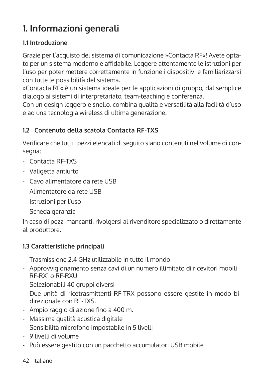# **1. Informazioni generali**

#### **1.1 Introduzione**

Grazie per l'acquisto del sistema di comunicazione »Contacta RF«! Avete optato per un sistema moderno e affidabile. Leggere attentamente le istruzioni per l'uso per poter mettere correttamente in funzione i dispositivi e familiarizzarsi con tutte le possibilità del sistema.

»Contacta RF« è un sistema ideale per le applicazioni di gruppo, dal semplice dialogo ai sistemi di interpretariato, team-teaching e conferenza.

Con un design leggero e snello, combina qualità e versatilità alla facilità d'uso e ad una tecnologia wireless di ultima generazione.

## **1.2 Contenuto della scatola Contacta RF-TXS**

Verificare che tutti i pezzi elencati di seguito siano contenuti nel volume di consegna:

- Contacta RF-TXS
- Valigetta antiurto
- Cavo alimentatore da rete USB
- Alimentatore da rete USB
- Istruzioni per l'uso
- Scheda garanzia

In caso di pezzi mancanti, rivolgersi al rivenditore specializzato o direttamente al produttore.

#### **1.3 Caratteristiche principali**

- Trasmissione 2.4 GHz utilizzabile in tutto il mondo
- Approvvigionamento senza cavi di un numero illimitato di ricevitori mobili RF-RX1 o RF-RXU
- Selezionabili 40 gruppi diversi
- Due unità di ricetrasmittenti RF-TRX possono essere gestite in modo bi direzionale con RF-TXS.
- Ampio raggio di azione fino a 400 m.
- Massima qualità acustica digitale
- Sensibilità microfono impostabile in 5 livelli
- 9 livelli di volume
- Può essere gestito con un pacchetto accumulatori USB mobile
- 42 Italiano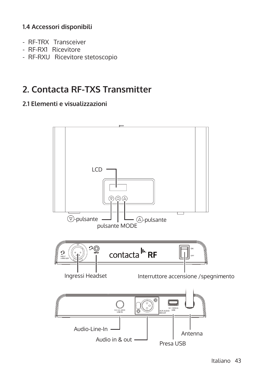#### **1.4 Accessori disponibili**

- RF-TRX Transceiver
- RF-RX1 Ricevitore
- RF-RXU Ricevitore stetoscopio

# **2. Contacta RF-TXS Transmitter**

### **2.1 Elementi e visualizzazioni**

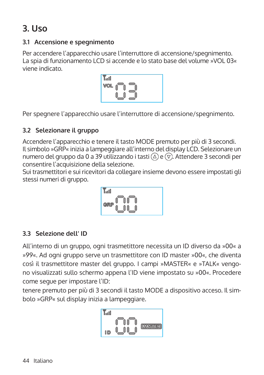# **3. Uso**

#### **3.1 Accensione e spegnimento**

Per accendere l'apparecchio usare l'interruttore di accensione/spegnimento. La spia di funzionamento LCD si accende e lo stato base del volume »VOL 03« viene indicato.



Per spegnere l'apparecchio usare l'interruttore di accensione/spegnimento.

## **3.2 Selezionare il gruppo**

Accendere l'apparecchio e tenere il tasto MODE premuto per più di 3 secondi. Il simbolo »GRP« inizia a lampeggiare all'interno del display LCD. Selezionare un numero del gruppo da 0 a 39 utilizzando i tasti  $\textcircled{2}$  e  $\textcircled{7}$ . Attendere 3 secondi per consentire l'acquisizione della selezione.

Sui trasmettitori e sui ricevitori da collegare insieme devono essere impostati gli stessi numeri di gruppo.



## **3.3 Selezione dell' ID**

All'interno di un gruppo, ogni trasmetittore necessita un ID diverso da »00« a »99«. Ad ogni gruppo serve un trasmettitore con ID master »00«, che diventa così il trasmettitore master del gruppo. I campi »MASTER« e »TALK« vengono visualizzati sullo schermo appena l'ID viene impostato su »00«. Procedere come segue per impostare l'ID:

tenere premuto per più di 3 secondi il tasto MODE a dispositivo acceso. Il simbolo »GRP« sul display inizia a lampeggiare.

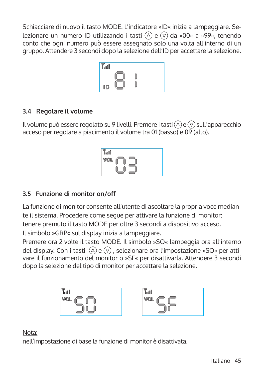Schiacciare di nuovo il tasto MODE. L'indicatore »ID« inizia a lampeggiare. Selezionare un numero ID utilizzando i tasti  $\overline{A}$ ) e  $\overline{v}$ ) da »00« a »99«, tenendo conto che ogni numero può essere assegnato solo una volta all'interno di un gruppo. Attendere 3 secondi dopo la selezione dell'ID per accettare la selezione.



## **3.4 Regolare il volume**

Il volume può essere regolato su 9 livelli. Premere i tasti  $\textcircled{2}$  e  $\textcircled{7}$  sull'apparecchio acceso per regolare a piacimento il volume tra 01 (basso) e 09 (alto).



## **3.5 Funzione di monitor on/off**

La funzione di monitor consente all'utente di ascoltare la propria voce mediante il sistema. Procedere come segue per attivare la funzione di monitor: tenere premuto il tasto MODE per oltre 3 secondi a dispositivo acceso. Il simbolo »GRP« sul display inizia a lampeggiare.

Premere ora 2 volte il tasto MODE. Il simbolo »SO« lampeggia ora all'interno del display. Con i tasti  $\Omega$  e  $\overline{v}$ , selezionare ora l'impostazione »SO« per attivare il funzionamento del monitor o »SF« per disattivarla. Attendere 3 secondi dopo la selezione del tipo di monitor per accettare la selezione.



#### Nota:

nell'impostazione di base la funzione di monitor è disattivata.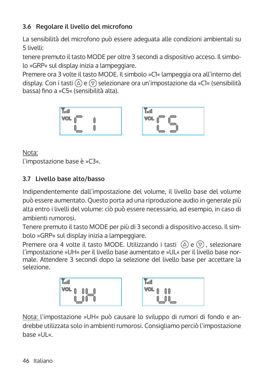## **3.6 Regolare il livello del microfono**

La sensibilità del microfono può essere adeguata alle condizioni ambientali su 5 livelli:

tenere premuto il tasto MODE per oltre 3 secondi a dispositivo acceso. Il simbolo »GRP« sul display inizia a lampeggiare.

Premere ora 3 volte il tasto MODE. Il simbolo »C1« lampeggia ora all'interno del display. Con i tasti  $\overline{A}$ ) e  $\overline{v}$ ) selezionare ora un'impostazione da »C1« (sensibilità bassa) fino a »C5« (sensibilità alta).





Nota:

l'impostazione base è »C3«.

## **3.7 Livello base alto/basso**

Indipendentemente dall'impostazione del volume, il livello base del volume può essere aumentato. Questo porta ad una riproduzione audio in generale più alta entro i livelli del volume: ciò può essere necessario, ad esempio, in caso di ambienti rumorosi.

Tenere premuto il tasto MODE per più di 3 secondi a dispositivo acceso. Il simbolo »GRP« sul display inizia a lampeggiare.

Premere ora 4 volte il tasto MODE. Utilizzando i tasti  $(\Omega)$  e  $(\overline{v})$  , selezionare l'impostazione »UH« per il livello base aumentato e »UL« per il livello base normale. Attendere 3 secondi dopo la selezione del livello base per accettare la selezione.



Nota: l'impostazione »UH« può causare lo sviluppo di rumori di fondo e andrebbe utilizzata solo in ambienti rumorosi. Consigliamo perciò l'impostazione base »UL«.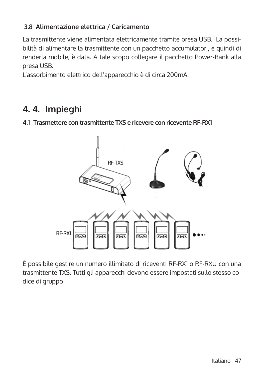## **3.8 Alimentazione elettrica / Caricamento**

La trasmittente viene alimentata elettricamente tramite presa USB. La possibilità di alimentare la trasmittente con un pacchetto accumulatori, e quindi di renderla mobile, è data. A tale scopo collegare il pacchetto Power-Bank alla presa USB.

L'assorbimento elettrico dell'apparecchio è di circa 200mA.

# **4. 4. Impieghi**

#### **4.1 Trasmettere con trasmittente TXS e ricevere con ricevente RF-RX1**



È possibile gestire un numero illimitato di riceventi RF-RX1 o RF-RXU con una trasmittente TXS. Tutti gli apparecchi devono essere impostati sullo stesso codice di gruppo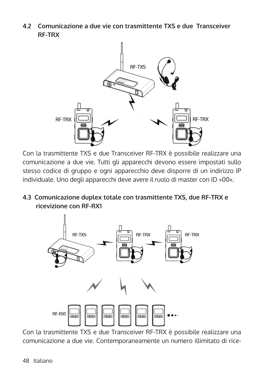**4.2 Comunicazione a due vie con trasmittente TXS e due Transceiver RF-TRX**



Con la trasmittente TXS e due Transceiver RF-TRX è possibile realizzare una comunicazione a due vie. Tutti gli apparecchi devono essere impostati sullo stesso codice di gruppo e ogni apparecchio deve disporre di un indirizzo IP individuale. Uno degli apparecchi deve avere il ruolo di master con ID »00«.

**4.3 Comunicazione duplex totale con trasmittente TXS, due RF-TRX e ricevizione con RF-RX1**



Con la trasmittente TXS e due Transceiver RF-TRX è possibile realizzare una comunicazione a due vie. Contemporaneamente un numero illimitato di rice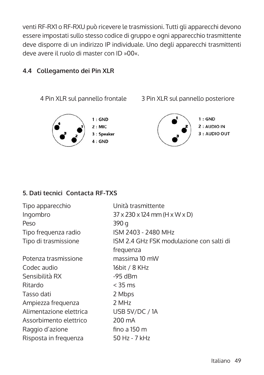venti RF-RX1 o RF-RXU può ricevere le trasmissioni. Tutti gli apparecchi devono essere impostati sullo stesso codice di gruppo e ogni apparecchio trasmittente deve disporre di un indirizzo IP individuale. Uno degli apparecchi trasmittenti deve avere il ruolo di master con ID »00«.

#### **4.4 Collegamento dei Pin XLR**



#### **5. Dati tecnici Contacta RF-TXS**

| Tipo apparecchio        | Unità trasmittente                                      |
|-------------------------|---------------------------------------------------------|
| Ingombro                | $37 \times 230 \times 124$ mm (H $\times$ W $\times$ D) |
| Peso                    | 390 q                                                   |
| Tipo frequenza radio    | ISM 2403 - 2480 MHz                                     |
| Tipo di trasmissione    | ISM 2.4 GHz FSK modulazione con salti di                |
|                         | frequenza                                               |
| Potenza trasmissione    | massima 10 mW                                           |
| Codec audio             | 16bit / 8 KHz                                           |
| Sensibilità RX          | $-95$ dBm                                               |
| Ritardo                 | $<$ 35 ms                                               |
| Tasso dati              | 2 Mbps                                                  |
| Ampiezza frequenza      | 2 MHz                                                   |
| Alimentazione elettrica | USB 5V/DC / 1A                                          |
| Assorbimento elettrico  | 200 mA                                                  |
| Raggio d'azione         | fino a 150 m                                            |
| Risposta in frequenza   | 50 Hz - 7 kHz                                           |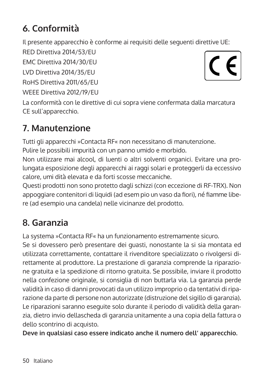# **6. Conformità**

Il presente apparecchio è conforme ai requisiti delle seguenti direttive UE:

RED Direttiva 2014/53/EU

EMC Direttiva 2014/30/EU

LVD Direttiva 2014/35/EU

RoHS Direttiva 2011/65/EU

WEEE Direttiva 2012/19/EU



La conformità con le direttive di cui sopra viene confermata dalla marcatura CE sull'apparecchio.

# **7. Manutenzione**

Tutti gli apparecchi »Contacta RF« non necessitano di manutenzione. Pulire le possibili impurità con un panno umido e morbido.

Non utilizzare mai alcool, di luenti o altri solventi organici. Evitare una prolungata esposizione degli apparecchi ai raggi solari e proteggerli da eccessivo calore, umi dità elevata e da forti scosse meccaniche.

Questi prodotti non sono protetto dagli schizzi (con eccezione di RF-TRX). Non appoggiare contenitori di liquidi (ad esem pio un vaso da fiori), né fiamme libere (ad esempio una candela) nelle vicinanze del prodotto.

# **8. Garanzia**

La systema »Contacta RF« ha un funzionamento estremamente sicuro.

Se si dovessero però presentare dei guasti, nonostante la si sia montata ed utilizzata correttamente, contattare il rivenditore specializzato o rivolgersi direttamente al produttore. La prestazione di garanzia comprende la riparazione gratuita e la spedizione di ritorno gratuita. Se possibile, inviare il prodotto nella confezione originale, si consiglia di non buttarla via. La garanzia perde validità in caso di danni provocati da un utilizzo improprio o da tentativi di riparazione da parte di persone non autorizzate (distruzione del sigillo di garanzia). Le riparazioni saranno eseguite solo durante il periodo di validità della garanzia, dietro invio dellascheda di garanzia unitamente a una copia della fattura o dello scontrino di acquisto.

**Deve in qualsiasi caso essere indicato anche il numero dell' apparecchio.**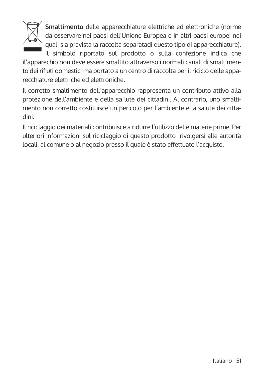

**Smaltimento** delle apparecchiature elettriche ed elettroniche (norme da osservare nei paesi dell'Unione Europea e in altri paesi europei nei quali sia prevista la raccolta separatadi questo tipo di apparecchiature).

Il simbolo riportato sul prodotto o sulla confezione indica che il'apparechio non deve essere smaltito attraverso i normali canali di smaltimento dei rifiuti domestici ma portato a un centro di raccolta per il riciclo delle apparecchiature elettriche ed elettroniche.

Il corretto smaltimento dell'apparecchio rappresenta un contributo attivo alla protezione dell'ambiente e della sa lute dei cittadini. Al contrario, uno smaltimento non corretto costituisce un pericolo per l'ambiente e la salute dei cittadini.

Il riciclaggio dei materiali contribuisce a ridurre l'utilizzo delle materie prime. Per ulteriori informazioni sul riciclaggio di questo prodotto rivolgersi alle autorità locali, al comune o al negozio presso il quale è stato effettuato l'acquisto.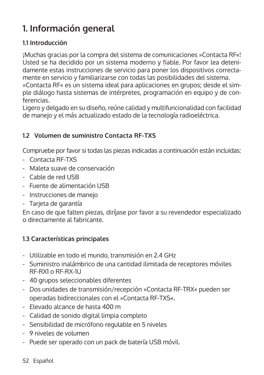# **1. Información general**

## **1.1 Introducción**

¡Muchas gracias por la compra del sistema de comunicaciones »Contacta RF«! Usted se ha decidido por un sistema moderno y fiable. Por favor lea detenidamente estas instrucciones de servicio para poner los dispositivos correctamente en servicio y familiarizarse con todas las posibilidades del sistema. »Contacta RF« es un sistema ideal para aplicaciones en grupos; desde el simple diálogo hasta sistemas de intérpretes, programación en equipo y de conferencias.

Ligero y delgado en su diseño, reúne calidad y multifuncionalidad con facilidad de manejo y el más actualizado estado de la tecnología radioeléctrica.

## **1.2 Volumen de suministro Contacta RF-TXS**

Compruebe por favor si todas las piezas indicadas a continuación están incluidas:

- Contacta RF-TXS
- Maleta suave de conservación
- Cable de red USB
- Fuente de alimentación USB
- Instrucciones de manejo
- Tarjeta de garantía

En caso de que falten piezas, diríjase por favor a su revendedor especializado o directamente al fabricante.

## **1.3 Características principales**

- Utilizable en todo el mundo, transmisión en 2.4 GHz
- Suministro inalámbrico de una cantidad ilimitada de receptores móviles RF-RX1 o RF-RX-1U
- 40 grupos seleccionables diferentes
- Dos unidades de transmisión/recepción »Contacta RF-TRX« pueden ser operadas bidireccionales con el »Contacta RF-TXS«.
- Elevado alcance de hasta 400 m
- Calidad de sonido digital limpia completo
- Sensibilidad de micrófono regulable en 5 niveles
- 9 niveles de volumen
- Puede ser operado con un pack de batería USB móvil.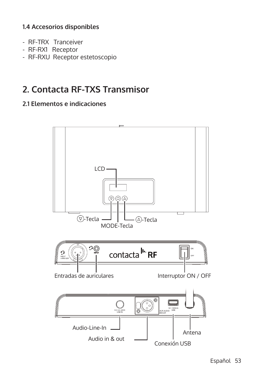#### **1.4 Accesorios disponibles**

- RF-TRX Tranceiver
- RF-RX1 Receptor
- RF-RXU Receptor estetoscopio

# **2. Contacta RF-TXS Transmisor**

#### **2.1 Elementos e indicaciones**

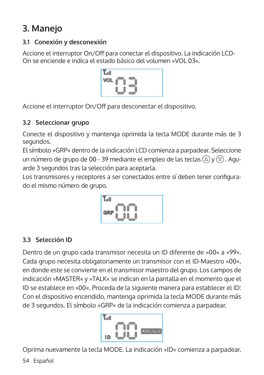# **3. Manejo**

## **3.1 Conexión y desconexión**

Accione el interruptor On/Off para conectar el dispositivo. La indicación LCD-On se enciende e indica el estado básico del volumen »VOL 03«.

| ыľ<br>VooOU |  |
|-------------|--|
| VOL         |  |
|             |  |

Accione el interruptor On/Off para desconectar el dispositivo.

## **3.2 Seleccionar grupo**

Conecte el dispositivo y mantenga oprimida la tecla MODE durante más de 3 segundos.

El símbolo »GRP« dentro de la indicación LCD comienza a parpadear. Seleccione un número de grupo de 00 - 39 mediante el empleo de las teclas  $(\triangle)$  y  $(\triangledown)$ . Aguarde 3 segundos tras la selección para aceptarla.

Los transmisores y receptores a ser conectados entre sí deben tener configurado el mismo número de grupo.



## **3.3 Selección ID**

Dentro de un grupo cada transmisor necesita un ID diferente de »00« a »99«. Cada grupo necesita obligatoriamente un transmisor con el ID-Maestro »00«, en donde este se convierte en el transmisor maestro del grupo. Los campos de indicación »MASTER« y »TALK« se indican en la pantalla en el momento que el ID se establece en »00«. Proceda de la siguiente manera para establecer el ID: Con el dispositivo encendido, mantenga oprimida la tecla MODE durante más de 3 segundos. El símbolo »GRP« de la indicación comienza a parpadear.



Oprima nuevamente la tecla MODE. La indicación »ID« comienza a parpadear.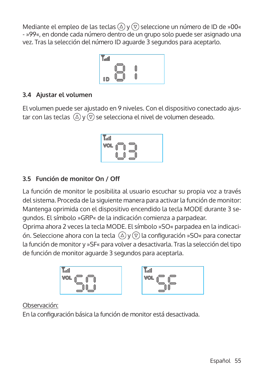Mediante el empleo de las teclas  $\textcircled{a}$  y  $\textcircled{v}$  seleccione un número de ID de »00« - »99«, en donde cada número dentro de un grupo solo puede ser asignado una vez. Tras la selección del número ID aguarde 3 segundos para aceptarlo.



#### **3.4 Ajustar el volumen**

El volumen puede ser ajustado en 9 niveles. Con el dispositivo conectado ajustar con las teclas  $\mathbb{Q}$  y  $\mathbb{Q}$  se selecciona el nivel de volumen deseado.

$$
\begin{array}{|c|c|} \hline \text{Total} & \text{total} \\ \hline \text{VOL} & \text{total} \\ \hline \text{UOL} & \text{total} \\ \hline \end{array}
$$

## **3.5 Función de monitor On / Off**

La función de monitor le posibilita al usuario escuchar su propia voz a través del sistema. Proceda de la siguiente manera para activar la función de monitor: Mantenga oprimida con el dispositivo encendido la tecla MODE durante 3 segundos. El símbolo »GRP« de la indicación comienza a parpadear.

Oprima ahora 2 veces la tecla MODE. El símbolo »SO« parpadea en la indicación. Seleccione ahora con la tecla  $\mathbb{Q}$  y  $\mathbb{Q}$  la configuración »SO« para conectar la función de monitor y »SF« para volver a desactivarla. Tras la selección del tipo de función de monitor aguarde 3 segundos para aceptarla.



#### Observación:

En la configuración básica la función de monitor está desactivada.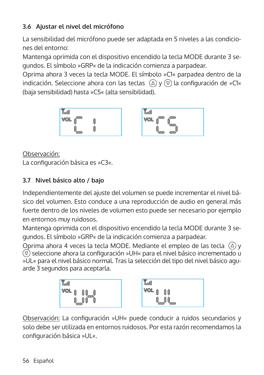## **3.6 Ajustar el nivel del micrófono**

La sensibilidad del micrófono puede ser adaptada en 5 niveles a las condiciones del entorno:

Mantenga oprimida con el dispositivo encendido la tecla MODE durante 3 segundos. El símbolo »GRP« de la indicación comienza a parpadear.

Oprima ahora 3 veces la tecla MODE. El símbolo »C1« parpadea dentro de la indicación. Seleccione ahora con las teclas  $\overline{(\triangle)}$  y  $\overline{(\triangledown)}$  la configuración de »C1« (baja sensibilidad) hasta »C5« (alta sensibilidad).



| TooO |  |  |
|------|--|--|
| VOL  |  |  |
|      |  |  |
|      |  |  |

Observación:

La configuración básica es »C3«.

## **3.7 Nivel básico alto / bajo**

Independientemente del ajuste del volumen se puede incrementar el nivel básico del volumen. Esto conduce a una reproducción de audio en general más fuerte dentro de los niveles de volumen esto puede ser necesario por ejemplo en entornos muy ruidosos.

Mantenga oprimida con el dispositivo encendido la tecla MODE durante 3 segundos. El símbolo »GRP« de la indicación comienza a parpadear.

Oprima ahora 4 veces la tecla MODE. Mediante el empleo de las tecla  $(\Delta)$  v  $\overline{v}$  seleccione ahora la configuración »UH« para el nivel básico incrementado u »UL« para el nivel básico normal. Tras la selección del tipo del nivel básico aguarde 3 segundos para aceptarla.



Observación: La configuración »UH« puede conducir a ruidos secundarios y solo debe ser utilizada en entornos ruidosos. Por esta razón recomendamos la configuración básica »UL«.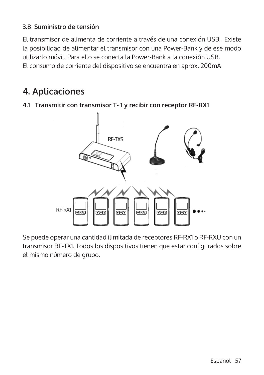#### **3.8 Suministro de tensión**

El transmisor de alimenta de corriente a través de una conexión USB. Existe la posibilidad de alimentar el transmisor con una Power-Bank y de ese modo utilizarlo móvil. Para ello se conecta la Power-Bank a la conexión USB. El consumo de corriente del dispositivo se encuentra en aprox. 200mA

## **4. Aplicaciones**

**4.1 Transmitir con transmisor T- 1 y recibir con receptor RF-RX1**



Se puede operar una cantidad ilimitada de receptores RF-RX1 o RF-RXU con un transmisor RF-TX1. Todos los dispositivos tienen que estar configurados sobre el mismo número de grupo.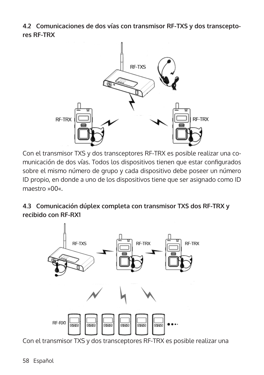**4.2 Comunicaciones de dos vías con transmisor RF-TXS y dos transceptores RF-TRX**



Con el transmisor TXS y dos transceptores RF-TRX es posible realizar una comunicación de dos vías. Todos los dispositivos tienen que estar configurados sobre el mismo número de grupo y cada dispositivo debe poseer un número ID propio, en donde a uno de los dispositivos tiene que ser asignado como ID maestro »00«.

**4.3 Comunicación dúplex completa con transmisor TXS dos RF-TRX y recibido con RF-RX1**



Con el transmisor TXS y dos transceptores RF-TRX es posible realizar una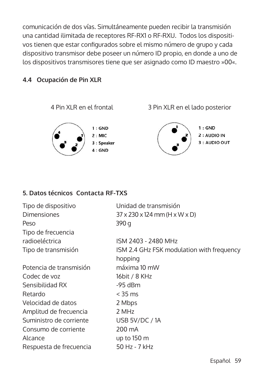comunicación de dos vías. Simultáneamente pueden recibir la transmisión una cantidad ilimitada de receptores RF-RX1 o RF-RXU. Todos los dispositivos tienen que estar configurados sobre el mismo número de grupo y cada dispositivo transmisor debe poseer un número ID propio, en donde a uno de los dispositivos transmisores tiene que ser asignado como ID maestro »00«.

#### **4.4 Ocupación de Pin XLR**



#### **5. Datos técnicos Contacta RF-TXS**

| Tipo de dispositivo     | Unidad de transmisión                                   |
|-------------------------|---------------------------------------------------------|
| <b>Dimensiones</b>      | $37 \times 230 \times 124$ mm (H $\times$ W $\times$ D) |
| Peso                    | 390 g                                                   |
| Tipo de frecuencia      |                                                         |
| radioeléctrica          | ISM 2403 - 2480 MHz                                     |
| Tipo de transmisión     | ISM 2.4 GHz FSK modulation with frequency               |
|                         | hopping                                                 |
| Potencia de transmisión | máxima 10 mW                                            |
| Codec de voz            | 16bit / 8 KHz                                           |
| Sensibilidad RX         | $-95$ dBm                                               |
| Retardo                 | $<$ 35 ms                                               |
| Velocidad de datos      | 2 Mbps                                                  |
| Amplitud de frecuencia  | 2 MHz                                                   |
| Suministro de corriente | USB 5V/DC / 1A                                          |
| Consumo de corriente    | 200 mA                                                  |
| Alcance                 | up to $150 \text{ m}$                                   |
| Respuesta de frecuencia | 50 Hz - 7 kHz                                           |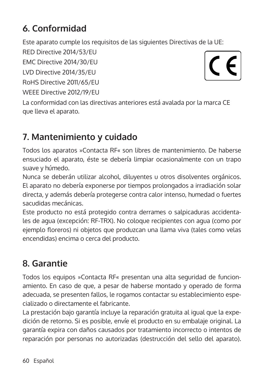# **6. Conformidad**

Este aparato cumple los requisitos de las siguientes Directivas de la UE:

RED Directive 2014/53/EU

EMC Directive 2014/30/EU

LVD Directive 2014/35/EU

RoHS Directive 2011/65/EU

WEEE Directive 2012/19/EU



La conformidad con las directivas anteriores está avalada por la marca CE que lleva el aparato.

# **7. Mantenimiento y cuidado**

Todos los aparatos »Contacta RF« son libres de mantenimiento. De haberse ensuciado el aparato, éste se debería limpiar ocasionalmente con un trapo suave y húmedo.

Nunca se deberán utilizar alcohol, diluyentes u otros disolventes orgánicos. El aparato no debería exponerse por tiempos prolongados a irradiación solar directa, y además debería protegerse contra calor intenso, humedad o fuertes sacudidas mecánicas.

Este producto no está protegido contra derrames o salpicaduras accidentales de agua (excepción: RF-TRX). No coloque recipientes con agua (como por ejemplo floreros) ni objetos que produzcan una llama viva (tales como velas encendidas) encima o cerca del producto.

# **8. Garantie**

Todos los equipos »Contacta RF« presentan una alta seguridad de funcionamiento. En caso de que, a pesar de haberse montado y operado de forma adecuada, se presenten fallos, le rogamos contactar su establecimiento especializado o directamente el fabricante.

La prestación bajo garantía incluye la reparación gratuita al igual que la expedición de retorno. Si es posible, envíe el producto en su embalaje original. La garantía expira con daños causados por tratamiento incorrecto o intentos de reparación por personas no autorizadas (destrucción del sello del aparato).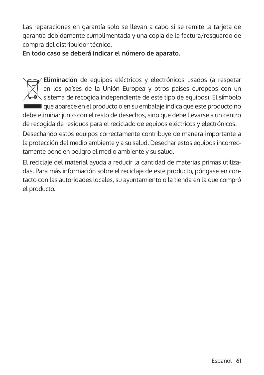Las reparaciones en garantía solo se llevan a cabo si se remite la tarjeta de garantía debidamente cumplimentada y una copia de la factura/resguardo de compra del distribuidor técnico.

**En todo caso se deberá indicar el número de aparato.**

**Eliminación** de equipos eléctricos y electrónicos usados (a respetar en los países de la Unión Europea y otros países europeos con un  $\sim$   $\sim$  sistema de recogida independiente de este tipo de equipos). El símbolo que aparece en el producto o en su embalaje indica que este producto no debe eliminar junto con el resto de desechos, sino que debe llevarse a un centro de recogida de residuos para el reciclado de equipos eléctricos y electrónicos. Desechando estos equipos correctamente contribuye de manera importante a la protección del medio ambiente y a su salud. Desechar estos equipos incorrectamente pone en peligro el medio ambiente y su salud.

El reciclaje del material ayuda a reducir la cantidad de materias primas utilizadas. Para más información sobre el reciclaje de este producto, póngase en contacto con las autoridades locales, su ayuntamiento o la tienda en la que compró el producto.